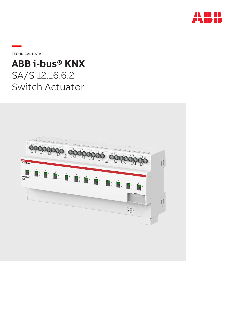

**—**TECHNICAL DATA

# **ABB i-bus® KNX** SA/S 12.16.6.2 Switch Actuator

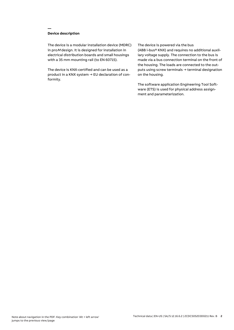## **Device description**

**—**

The device is a modular installation device (MDRC) in proM design. It is designed for installation in electrical distribution boards and small housings with a 35 mm mounting rail (to EN 60715).

The device is KNX-certified and can be used as a product in a KNX system → EU declaration of conformity.

#### The device is powered via the bus

(ABB i-bus® KNX) and requires no additional auxiliary voltage supply. The connection to the bus is made via a bus connection terminal on the front of the housing. The loads are connected to the outputs using screw terminals → terminal designation on the housing.

The software application Engineering Tool Software (ETS) is used for physical address assignment and parameterization.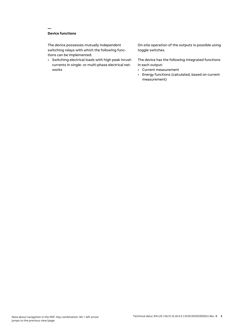## **Device functions**

**—**

The device possesses mutually independent switching relays with which the following functions can be implemented:

• Switching electrical loads with high peak inrush currents in single- or multi-phase electrical networks

On-site operation of the outputs is possible using toggle switches.

The device has the following integrated functions in each output:

- Current measurement
- Energy functions (calculated, based on current measurement)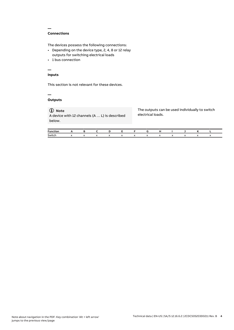#### **Connections**

**—**

The devices possess the following connections:

- Depending on the device type, 2, 4, 8 or 12 relay outputs for switching electrical loads
- 1 bus connection

# **—**

# **Inputs**

This section is not relevant for these devices.

#### **— Outputs**

# **Note**

A device with 12 channels (A … L) is described below.

The outputs can be used individually to switch electrical loads.

| Functi |           |              |                      |  |  |  |  |  |
|--------|-----------|--------------|----------------------|--|--|--|--|--|
| Switch | $\lambda$ | $\mathbf{v}$ | $\ddot{\phantom{0}}$ |  |  |  |  |  |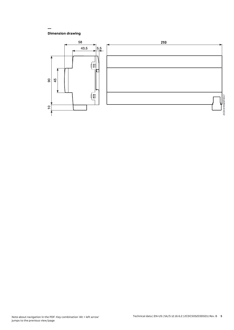### **Dimension drawing**

**—**

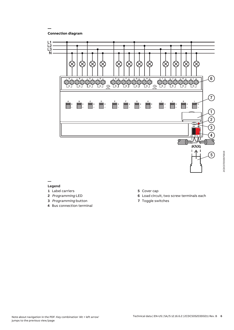**Connection diagram**

**—**



#### **— Legend**

- **1** Label carriers
- **2** Programming LED
- **3** Programming button
- **4** Bus connection terminal
- **5** Cover cap
- **6** Load circuit, two screw terminals each
- **7** Toggle switches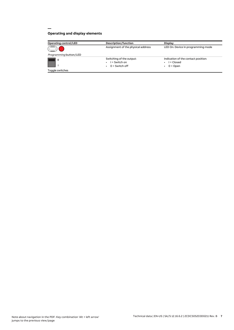# **Operating and display elements**

**—**

| <b>Operating control/LED</b> | Description/function                                            | <b>Display</b>                                                  |
|------------------------------|-----------------------------------------------------------------|-----------------------------------------------------------------|
|                              | Assignment of the physical address                              | LED On: Device in programming mode                              |
| Programming button/LED       |                                                                 |                                                                 |
| $\circ$                      | Switching of the output:<br>$I =$ Switch on<br>$0 =$ Switch off | Indication of the contact position:<br>I = Closed<br>$0 =$ Open |
| Toggle switches              |                                                                 |                                                                 |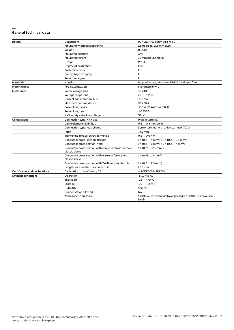#### **— General technical data**

| <b>Device</b>                        | Dimensions                                                              | $90 \times 210 \times 63.5$ mm (H x W x D)                                      |  |  |
|--------------------------------------|-------------------------------------------------------------------------|---------------------------------------------------------------------------------|--|--|
|                                      | Mounting width in space units                                           | 12 modules, 17.5 mm each                                                        |  |  |
|                                      | Weight                                                                  | 0.85 kg                                                                         |  |  |
|                                      | Mounting position                                                       | Any                                                                             |  |  |
|                                      | Mounting variant                                                        | 35 mm mounting rail                                                             |  |  |
|                                      | Design                                                                  | ProM                                                                            |  |  |
|                                      | Degree of protection                                                    | <b>IP 20</b>                                                                    |  |  |
|                                      | Protection class                                                        | Ш                                                                               |  |  |
|                                      | Overvoltage category                                                    | Ш                                                                               |  |  |
|                                      | Pollution degree                                                        | $\mathsf{S}$                                                                    |  |  |
| <b>Materials</b>                     | Housing                                                                 | Polycarbonate, Makrolon FR6002, halogen free                                    |  |  |
| <b>Material note</b>                 | Fire classification                                                     | Flammability V-0                                                                |  |  |
| <b>Electronics</b>                   | Rated voltage, bus                                                      | 30 V DC                                                                         |  |  |
|                                      | Voltage range, bus                                                      | 21  31 V DC                                                                     |  |  |
|                                      | Current consumption, bus                                                | $< 12 \text{ mA}$                                                               |  |  |
|                                      | Maximum current, device                                                 | $12 \times 20$ A                                                                |  |  |
|                                      | Power loss, device                                                      | $\leq$ 12 W (16 A)/16 W (20 A)                                                  |  |  |
|                                      | Power loss, bus                                                         | $\leq$ 0.25 W                                                                   |  |  |
|                                      | KNX safety extra low voltage                                            | <b>SELV</b>                                                                     |  |  |
| <b>Connections</b>                   | Connection type, KNX bus                                                | Plug-in terminal                                                                |  |  |
|                                      | Cable diameter, KNX bus                                                 | 0.6  0.8 mm, solid                                                              |  |  |
|                                      | Connection type, load circuit                                           | Screw terminal with universal head (PZ 1)                                       |  |  |
|                                      | Pitch                                                                   | 7.62 mm                                                                         |  |  |
|                                      | Tightening torque, screw terminals                                      | $0.50.6$ Nm                                                                     |  |  |
|                                      | Conductor cross-section, flexible                                       | $1 \times (0.2 \ldots 4 \text{ mm}^2) / 2 \times (0.2 \ldots 2.5 \text{ mm}^2)$ |  |  |
|                                      | Conductor cross section, rigid                                          | $1 \times (0.2 \ldots 6 \text{ mm}^2) / 2 \times (0.2 \ldots 4 \text{ mm}^2)$   |  |  |
|                                      | Conductor cross section with wire end ferrule without<br>plastic sleeve | $1 \times (0.252.5 \text{ mm}^2)$                                               |  |  |
|                                      | Conductor cross section with wire end ferrule with<br>plastic sleeve    | $1 \times (0.254 \text{ mm}^2)$                                                 |  |  |
|                                      | Conductor cross section with TWIN wire end ferrule                      | $1 \times (0.52.5)$ mm <sup>2</sup> )                                           |  |  |
|                                      | Length, wire end ferrule contact pin                                    | $\geq 10$ mm                                                                    |  |  |
| <b>Certificates and declarations</b> | Declaration of conformity CE                                            | → 2CDK505249D2701                                                               |  |  |
| <b>Ambient conditions</b>            | Operation                                                               | $-5+45$ °C                                                                      |  |  |
|                                      | Transport                                                               | $-25+70$ °C                                                                     |  |  |
|                                      | Storage                                                                 | $-25+55$ °C                                                                     |  |  |
|                                      | Humidity                                                                | $\leq$ 95 %                                                                     |  |  |
|                                      | Condensation allowed                                                    | No                                                                              |  |  |
|                                      | Atmospheric pressure                                                    | $\geq$ 80 kPa (corresponds to air pressure at 2,000 m above sea<br>level)       |  |  |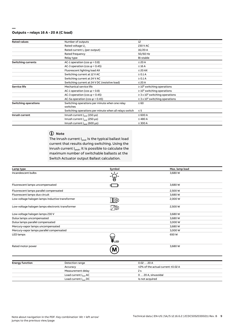#### **— Outputs – relays 16 A - 20 A (C load)**

| <b>Rated values</b>         | Number of outputs                                      | 12                                              |
|-----------------------------|--------------------------------------------------------|-------------------------------------------------|
|                             | Rated voltage U <sub>n</sub>                           | 230 V AC                                        |
|                             | Rated current I <sub>n</sub> (per output)              | 16/20 A                                         |
|                             | Rated frequency                                        | 50/60 Hz                                        |
|                             | Relay type                                             | Bi-stable                                       |
| <b>Switching currents</b>   | AC-1 operation (cos $\varphi$ = 0.8)                   | $\leq 20$ A                                     |
|                             | AC-3 operation (cos $\varphi$ = 0.45)                  | $\leq 16$ A                                     |
|                             | Fluorescent lighting load AX                           | $\leq$ 20 AX                                    |
|                             | Switching current at 12 V AC                           | $\geq 0.1$ A                                    |
|                             | Switching current at 24 V AC                           | $\geq 0.1$ A                                    |
|                             | Switching current at 24 V DC (resistive load)          | $\leq 20$ A                                     |
| <b>Service life</b>         | Mechanical service life                                | $\geq 10^6$ switching operations                |
|                             | AC-1 operation (cos $\varphi$ = 0.8)                   | $\geq 10^5$ switching operations                |
|                             | AC-3 operation (cos $\varphi$ = 0.45)                  | $\geq$ 3 x 10 <sup>4</sup> switching operations |
|                             | AC-5a operation (cos $\varphi$ = 0.45)                 | $\geq$ 3 x 10 <sup>4</sup> switching operations |
| <b>Switching operations</b> | Switching operations per minute when one relay         | $\leq 60$                                       |
|                             | switches                                               |                                                 |
|                             | Switching operations per minute when all relays switch | $\leq 5$                                        |
| Inrush current              | Inrush current $I_{\text{peak}}$ (150 µs)              | $\leq 600 A$                                    |
|                             | Inrush current I <sub>neak</sub> (250 µs)              | $\leq 480$ A                                    |
|                             | Inrush current $I_{\text{peak}}$ (600 µs)              | $\leq$ 300 A                                    |

# **Note**

The inrush current  $I_{peak}$  is the typical ballast load current that results during switching. Using the inrush current  $I_{peak}$ , it is possible to calculate the maximum number of switchable ballasts at the Switch Actuator output Ballast calculation.

| Lamp type                                        | Symbol | Max. lamp load |  |
|--------------------------------------------------|--------|----------------|--|
| Incandescent bulbs                               |        | 3,680 W        |  |
| Fluorescent lamps uncompensated                  | 3 E    | 3,680 W        |  |
| Fluorescent lamps parallel compensated           |        | 2,500 W        |  |
| Fluorescent lamps duo circuit                    |        | 3,680 W        |  |
| Low-voltage halogen lamps inductive transformer  | ∏⊗     | 2,000 W        |  |
| Low-voltage halogen lamps electronic transformer |        | 2,500 W        |  |
| Low-voltage halogen lamps 230 V                  |        | 3,680 W        |  |
| Dulux lamps uncompensated                        |        | 3,680 W        |  |
| Dulux lamps parallel compensated                 |        | 3,000 W        |  |
| Mercury-vapor lamps uncompensated                |        | 3,680 W        |  |
| Mercury-vapor lamps parallel compensated         |        | 3,000 W        |  |
| LED lamps                                        | LED    | 650W           |  |
| Rated motor power                                | M      | 3,680 W        |  |
|                                                  |        |                |  |

| <b>Energy function</b> | Detection range                   | 0.02  20 A                        |
|------------------------|-----------------------------------|-----------------------------------|
|                        | Accuracy                          | ±2% of the actual current ±0.02 A |
|                        | Measurement delay                 | 2 s                               |
|                        | Load current I <sub>load</sub> AC | 0  20 A, sinusoidal               |
|                        | Load current I <sub>load</sub> DC | Is not acquired                   |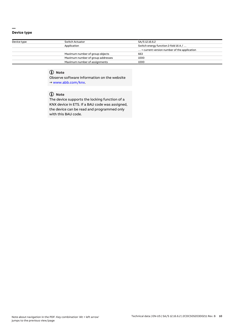#### **— Device type**

| Device type | Switch Actuator                   | SA/S 12.16.6.2                                       |  |  |
|-------------|-----------------------------------|------------------------------------------------------|--|--|
|             | Application                       | Switch energy function 2-fold 16 A /                 |  |  |
|             |                                   | $\ldots$ = current version number of the application |  |  |
|             | Maximum number of group objects   | 663                                                  |  |  |
|             | Maximum number of group addresses | 1000                                                 |  |  |
|             | Maximum number of assignments     | 1000                                                 |  |  |

# **Note**

Observe software information on the website → www.abb.com/knx.

# **Note**

The device supports the locking function of a KNX device in ETS. If a BAU code was assigned, the device can be read and programmed only with this BAU code.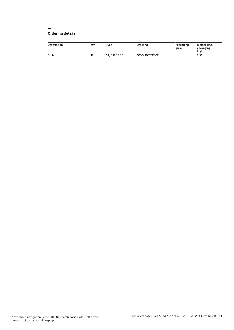#### **— Ordering details**

| <b>Description</b> | <b>MW</b> | Type           | Order no.       | Packaging<br>[pcs.] | Weight (incl.<br>packaging)<br>[kg] |
|--------------------|-----------|----------------|-----------------|---------------------|-------------------------------------|
| Switch             | 12        | SA/S 12.16.6.2 | 2CDG110272R0011 |                     | 0.96                                |